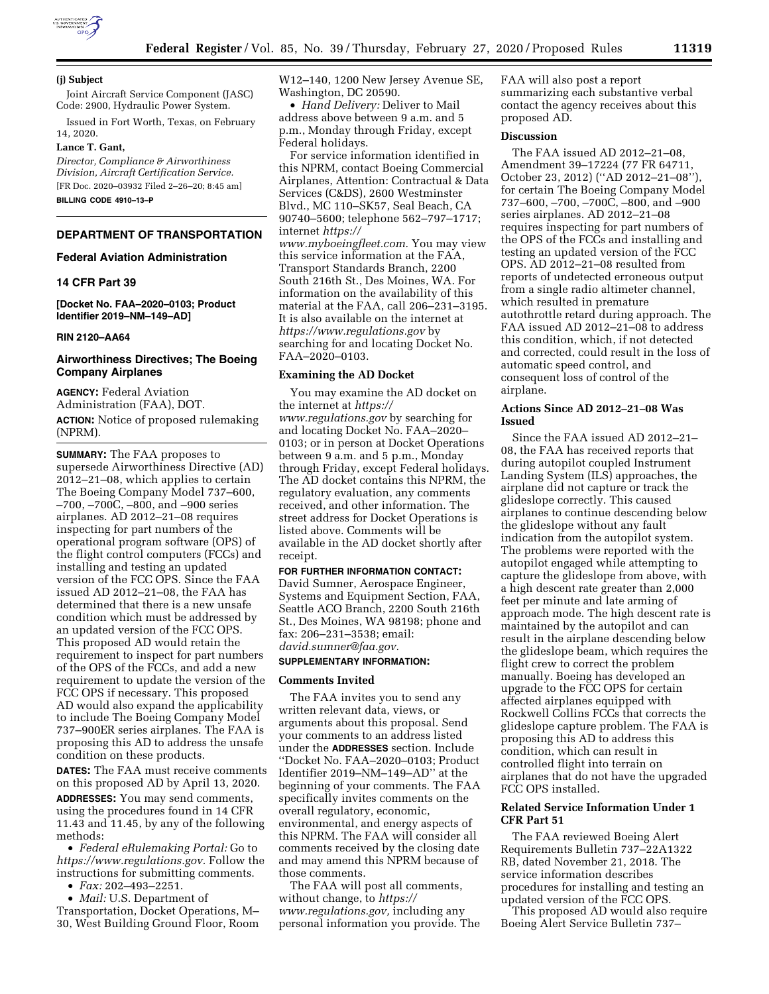

### **(j) Subject**

Joint Aircraft Service Component (JASC) Code: 2900, Hydraulic Power System.

Issued in Fort Worth, Texas, on February 14, 2020.

### **Lance T. Gant,**

*Director, Compliance & Airworthiness Division, Aircraft Certification Service.*  [FR Doc. 2020–03932 Filed 2–26–20; 8:45 am] **BILLING CODE 4910–13–P** 

## **DEPARTMENT OF TRANSPORTATION**

### **Federal Aviation Administration**

## **14 CFR Part 39**

**[Docket No. FAA–2020–0103; Product Identifier 2019–NM–149–AD]** 

### **RIN 2120–AA64**

## **Airworthiness Directives; The Boeing Company Airplanes**

**AGENCY:** Federal Aviation Administration (FAA), DOT. **ACTION:** Notice of proposed rulemaking (NPRM).

**SUMMARY:** The FAA proposes to supersede Airworthiness Directive (AD) 2012–21–08, which applies to certain The Boeing Company Model 737–600, –700, –700C, –800, and –900 series airplanes. AD 2012–21–08 requires inspecting for part numbers of the operational program software (OPS) of the flight control computers (FCCs) and installing and testing an updated version of the FCC OPS. Since the FAA issued AD 2012–21–08, the FAA has determined that there is a new unsafe condition which must be addressed by an updated version of the FCC OPS. This proposed AD would retain the requirement to inspect for part numbers of the OPS of the FCCs, and add a new requirement to update the version of the FCC OPS if necessary. This proposed AD would also expand the applicability to include The Boeing Company Model 737–900ER series airplanes. The FAA is proposing this AD to address the unsafe condition on these products.

**DATES:** The FAA must receive comments on this proposed AD by April 13, 2020. **ADDRESSES:** You may send comments, using the procedures found in 14 CFR 11.43 and 11.45, by any of the following methods:

• *Federal eRulemaking Portal:* Go to *[https://www.regulations.gov.](https://www.regulations.gov)* Follow the instructions for submitting comments.

• *Fax:* 202–493–2251.

• *Mail:* U.S. Department of Transportation, Docket Operations, M– 30, West Building Ground Floor, Room W12–140, 1200 New Jersey Avenue SE, Washington, DC 20590.

• *Hand Delivery:* Deliver to Mail address above between 9 a.m. and 5 p.m., Monday through Friday, except Federal holidays.

For service information identified in this NPRM, contact Boeing Commercial Airplanes, Attention: Contractual & Data Services (C&DS), 2600 Westminster Blvd., MC 110–SK57, Seal Beach, CA 90740–5600; telephone 562–797–1717; internet *[https://](https://www.myboeingfleet.com)*

*[www.myboeingfleet.com.](https://www.myboeingfleet.com)* You may view this service information at the FAA, Transport Standards Branch, 2200 South 216th St., Des Moines, WA. For information on the availability of this material at the FAA, call 206–231–3195. It is also available on the internet at *<https://www.regulations.gov>* by searching for and locating Docket No. FAA–2020–0103.

#### **Examining the AD Docket**

You may examine the AD docket on the internet at *[https://](https://www.regulations.gov) [www.regulations.gov](https://www.regulations.gov)* by searching for and locating Docket No. FAA–2020– 0103; or in person at Docket Operations between 9 a.m. and 5 p.m., Monday through Friday, except Federal holidays. The AD docket contains this NPRM, the regulatory evaluation, any comments received, and other information. The street address for Docket Operations is listed above. Comments will be available in the AD docket shortly after receipt.

# **FOR FURTHER INFORMATION CONTACT:**

David Sumner, Aerospace Engineer, Systems and Equipment Section, FAA, Seattle ACO Branch, 2200 South 216th St., Des Moines, WA 98198; phone and fax: 206–231–3538; email: *[david.sumner@faa.gov.](mailto:david.sumner@faa.gov)* 

#### **SUPPLEMENTARY INFORMATION:**

## **Comments Invited**

The FAA invites you to send any written relevant data, views, or arguments about this proposal. Send your comments to an address listed under the **ADDRESSES** section. Include ''Docket No. FAA–2020–0103; Product Identifier 2019–NM–149–AD'' at the beginning of your comments. The FAA specifically invites comments on the overall regulatory, economic, environmental, and energy aspects of this NPRM. The FAA will consider all comments received by the closing date and may amend this NPRM because of those comments.

The FAA will post all comments, without change, to *[https://](https://www.regulations.gov) [www.regulations.gov,](https://www.regulations.gov)* including any personal information you provide. The FAA will also post a report summarizing each substantive verbal contact the agency receives about this proposed AD.

### **Discussion**

The FAA issued AD 2012–21–08, Amendment 39–17224 (77 FR 64711, October 23, 2012) (''AD 2012–21–08''), for certain The Boeing Company Model 737–600, –700, –700C, –800, and –900 series airplanes. AD 2012–21–08 requires inspecting for part numbers of the OPS of the FCCs and installing and testing an updated version of the FCC OPS. AD 2012–21–08 resulted from reports of undetected erroneous output from a single radio altimeter channel, which resulted in premature autothrottle retard during approach. The FAA issued AD 2012–21–08 to address this condition, which, if not detected and corrected, could result in the loss of automatic speed control, and consequent loss of control of the airplane.

## **Actions Since AD 2012–21–08 Was Issued**

Since the FAA issued AD 2012–21– 08, the FAA has received reports that during autopilot coupled Instrument Landing System (ILS) approaches, the airplane did not capture or track the glideslope correctly. This caused airplanes to continue descending below the glideslope without any fault indication from the autopilot system. The problems were reported with the autopilot engaged while attempting to capture the glideslope from above, with a high descent rate greater than 2,000 feet per minute and late arming of approach mode. The high descent rate is maintained by the autopilot and can result in the airplane descending below the glideslope beam, which requires the flight crew to correct the problem manually. Boeing has developed an upgrade to the FCC OPS for certain affected airplanes equipped with Rockwell Collins FCCs that corrects the glideslope capture problem. The FAA is proposing this AD to address this condition, which can result in controlled flight into terrain on airplanes that do not have the upgraded FCC OPS installed.

## **Related Service Information Under 1 CFR Part 51**

The FAA reviewed Boeing Alert Requirements Bulletin 737–22A1322 RB, dated November 21, 2018. The service information describes procedures for installing and testing an updated version of the FCC OPS.

This proposed AD would also require Boeing Alert Service Bulletin 737–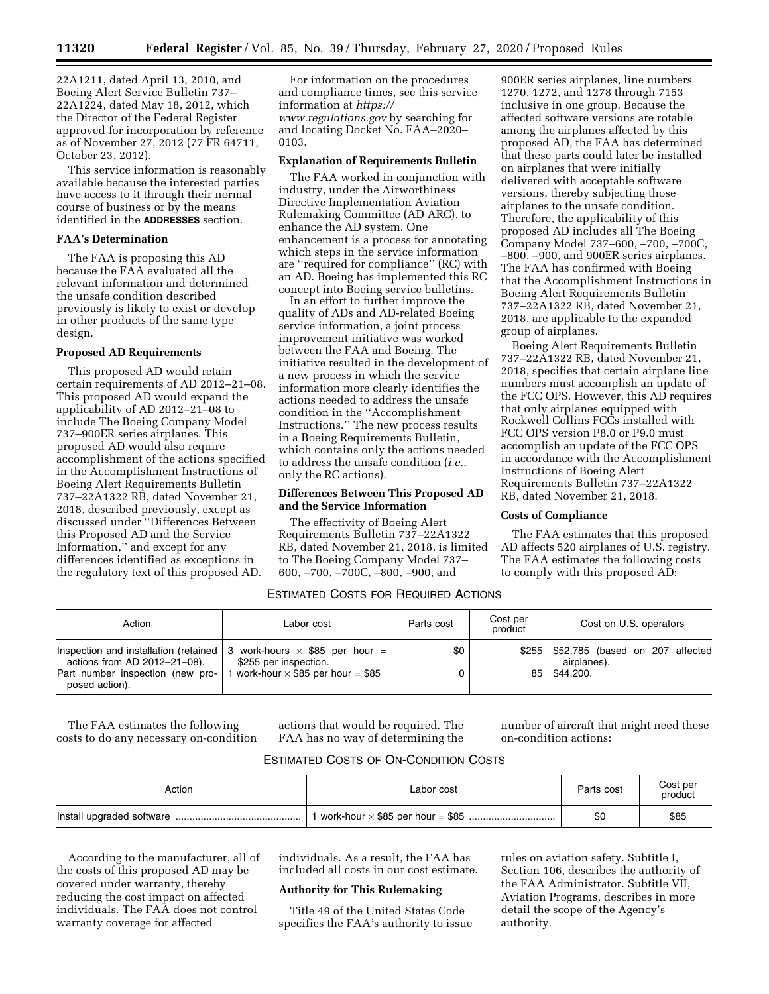22A1211, dated April 13, 2010, and Boeing Alert Service Bulletin 737– 22A1224, dated May 18, 2012, which the Director of the Federal Register approved for incorporation by reference as of November 27, 2012 (77 FR 64711, October 23, 2012).

This service information is reasonably available because the interested parties have access to it through their normal course of business or by the means identified in the **ADDRESSES** section.

## **FAA's Determination**

The FAA is proposing this AD because the FAA evaluated all the relevant information and determined the unsafe condition described previously is likely to exist or develop in other products of the same type design.

# **Proposed AD Requirements**

This proposed AD would retain certain requirements of AD 2012–21–08. This proposed AD would expand the applicability of AD 2012–21–08 to include The Boeing Company Model 737–900ER series airplanes. This proposed AD would also require accomplishment of the actions specified in the Accomplishment Instructions of Boeing Alert Requirements Bulletin 737–22A1322 RB, dated November 21, 2018, described previously, except as discussed under ''Differences Between this Proposed AD and the Service Information,'' and except for any differences identified as exceptions in the regulatory text of this proposed AD.

For information on the procedures and compliance times, see this service information at *[https://](https://www.regulations.gov) [www.regulations.gov](https://www.regulations.gov)* by searching for and locating Docket No. FAA–2020– 0103.

### **Explanation of Requirements Bulletin**

The FAA worked in conjunction with industry, under the Airworthiness Directive Implementation Aviation Rulemaking Committee (AD ARC), to enhance the AD system. One enhancement is a process for annotating which steps in the service information are ''required for compliance'' (RC) with an AD. Boeing has implemented this RC concept into Boeing service bulletins.

In an effort to further improve the quality of ADs and AD-related Boeing service information, a joint process improvement initiative was worked between the FAA and Boeing. The initiative resulted in the development of a new process in which the service information more clearly identifies the actions needed to address the unsafe condition in the ''Accomplishment Instructions.'' The new process results in a Boeing Requirements Bulletin, which contains only the actions needed to address the unsafe condition (*i.e.,*  only the RC actions).

## **Differences Between This Proposed AD and the Service Information**

The effectivity of Boeing Alert Requirements Bulletin 737–22A1322 RB, dated November 21, 2018, is limited to The Boeing Company Model 737– 600, –700, –700C, –800, –900, and

900ER series airplanes, line numbers 1270, 1272, and 1278 through 7153 inclusive in one group. Because the affected software versions are rotable among the airplanes affected by this proposed AD, the FAA has determined that these parts could later be installed on airplanes that were initially delivered with acceptable software versions, thereby subjecting those airplanes to the unsafe condition. Therefore, the applicability of this proposed AD includes all The Boeing Company Model 737–600, –700, –700C, –800, –900, and 900ER series airplanes. The FAA has confirmed with Boeing that the Accomplishment Instructions in Boeing Alert Requirements Bulletin 737–22A1322 RB, dated November 21, 2018, are applicable to the expanded group of airplanes.

Boeing Alert Requirements Bulletin 737–22A1322 RB, dated November 21, 2018, specifies that certain airplane line numbers must accomplish an update of the FCC OPS. However, this AD requires that only airplanes equipped with Rockwell Collins FCCs installed with FCC OPS version P8.0 or P9.0 must accomplish an update of the FCC OPS in accordance with the Accomplishment Instructions of Boeing Alert Requirements Bulletin 737–22A1322 RB, dated November 21, 2018.

# **Costs of Compliance**

The FAA estimates that this proposed AD affects 520 airplanes of U.S. registry. The FAA estimates the following costs to comply with this proposed AD:

# ESTIMATED COSTS FOR REQUIRED ACTIONS

| Action                                             | Labor cost                                                                                                   | Parts cost | Cost per<br>product | Cost on U.S. operators                                 |  |
|----------------------------------------------------|--------------------------------------------------------------------------------------------------------------|------------|---------------------|--------------------------------------------------------|--|
| actions from AD 2012-21-08).                       | Inspection and installation (retained $\vert$ 3 work-hours $\times$ \$85 per hour =<br>\$255 per inspection. | \$0        |                     | \$255   \$52,785 (based on 207 affected<br>airplanes). |  |
| Part number inspection (new pro-<br>posed action). | work-hour $\times$ \$85 per hour = \$85                                                                      | 0          |                     | 85   \$44.200.                                         |  |

The FAA estimates the following costs to do any necessary on-condition actions that would be required. The FAA has no way of determining the number of aircraft that might need these on-condition actions:

# ESTIMATED COSTS OF ON-CONDITION COSTS

| Action | Labor cost | Parts cost | Cost per<br>product |
|--------|------------|------------|---------------------|
|        |            | \$0        | \$85                |

According to the manufacturer, all of the costs of this proposed AD may be covered under warranty, thereby reducing the cost impact on affected individuals. The FAA does not control warranty coverage for affected

individuals. As a result, the FAA has included all costs in our cost estimate.

## **Authority for This Rulemaking**

Title 49 of the United States Code specifies the FAA's authority to issue rules on aviation safety. Subtitle I, Section 106, describes the authority of the FAA Administrator. Subtitle VII, Aviation Programs, describes in more detail the scope of the Agency's authority.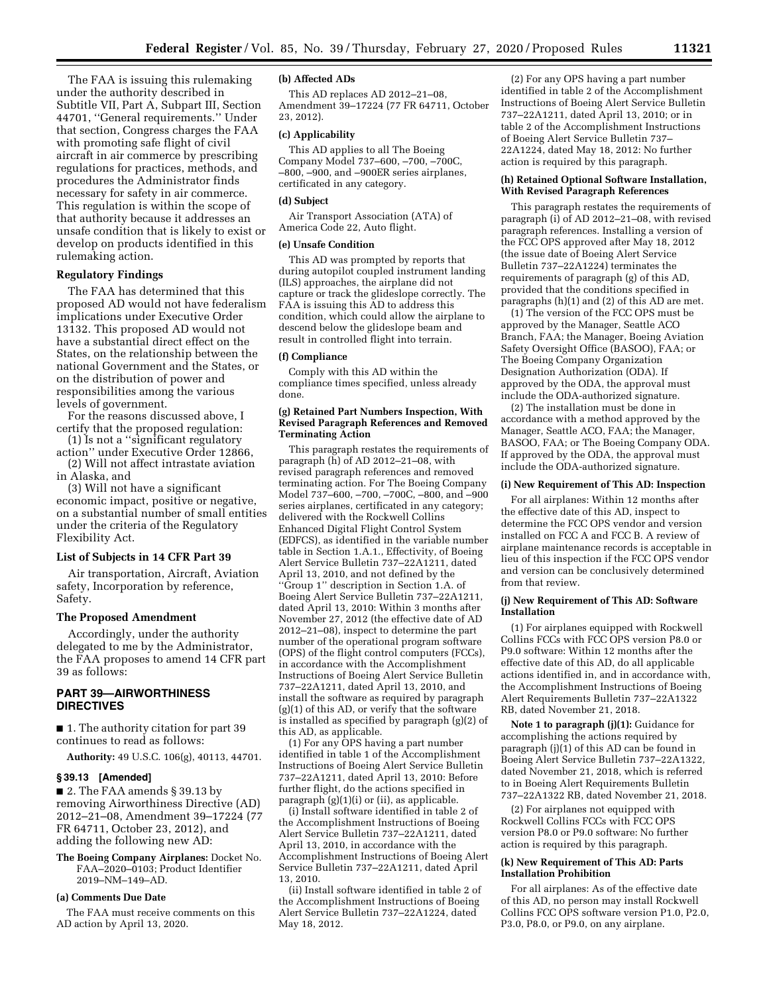The FAA is issuing this rulemaking under the authority described in Subtitle VII, Part A, Subpart III, Section 44701, ''General requirements.'' Under that section, Congress charges the FAA with promoting safe flight of civil aircraft in air commerce by prescribing regulations for practices, methods, and procedures the Administrator finds necessary for safety in air commerce. This regulation is within the scope of that authority because it addresses an unsafe condition that is likely to exist or develop on products identified in this rulemaking action.

## **Regulatory Findings**

The FAA has determined that this proposed AD would not have federalism implications under Executive Order 13132. This proposed AD would not have a substantial direct effect on the States, on the relationship between the national Government and the States, or on the distribution of power and responsibilities among the various levels of government.

For the reasons discussed above, I certify that the proposed regulation:

- (1) Is not a ''significant regulatory action'' under Executive Order 12866,
- (2) Will not affect intrastate aviation in Alaska, and

(3) Will not have a significant economic impact, positive or negative, on a substantial number of small entities under the criteria of the Regulatory Flexibility Act.

## **List of Subjects in 14 CFR Part 39**

Air transportation, Aircraft, Aviation safety, Incorporation by reference, Safety.

#### **The Proposed Amendment**

Accordingly, under the authority delegated to me by the Administrator, the FAA proposes to amend 14 CFR part 39 as follows:

# **PART 39—AIRWORTHINESS DIRECTIVES**

■ 1. The authority citation for part 39 continues to read as follows:

**Authority:** 49 U.S.C. 106(g), 40113, 44701.

### **§ 39.13 [Amended]**

■ 2. The FAA amends § 39.13 by removing Airworthiness Directive (AD) 2012–21–08, Amendment 39–17224 (77 FR 64711, October 23, 2012), and adding the following new AD:

**The Boeing Company Airplanes:** Docket No. FAA-2020-0103; Product Identifier 2019–NM–149–AD.

## **(a) Comments Due Date**

The FAA must receive comments on this AD action by April 13, 2020.

## **(b) Affected ADs**

This AD replaces AD 2012–21–08, Amendment 39–17224 (77 FR 64711, October 23, 2012).

### **(c) Applicability**

This AD applies to all The Boeing Company Model 737–600, –700, –700C, –800, –900, and –900ER series airplanes, certificated in any category.

### **(d) Subject**

Air Transport Association (ATA) of America Code 22, Auto flight.

### **(e) Unsafe Condition**

This AD was prompted by reports that during autopilot coupled instrument landing (ILS) approaches, the airplane did not capture or track the glideslope correctly. The FAA is issuing this AD to address this condition, which could allow the airplane to descend below the glideslope beam and result in controlled flight into terrain.

# **(f) Compliance**

Comply with this AD within the compliance times specified, unless already done.

### **(g) Retained Part Numbers Inspection, With Revised Paragraph References and Removed Terminating Action**

This paragraph restates the requirements of paragraph  $(h)$  of AD 2012–21–08, with revised paragraph references and removed terminating action. For The Boeing Company Model 737–600, –700, –700C, –800, and –900 series airplanes, certificated in any category; delivered with the Rockwell Collins Enhanced Digital Flight Control System (EDFCS), as identified in the variable number table in Section 1.A.1., Effectivity, of Boeing Alert Service Bulletin 737–22A1211, dated April 13, 2010, and not defined by the ''Group 1'' description in Section 1.A. of Boeing Alert Service Bulletin 737–22A1211, dated April 13, 2010: Within 3 months after November 27, 2012 (the effective date of AD 2012–21–08), inspect to determine the part number of the operational program software (OPS) of the flight control computers (FCCs), in accordance with the Accomplishment Instructions of Boeing Alert Service Bulletin 737–22A1211, dated April 13, 2010, and install the software as required by paragraph  $(g)(1)$  of this AD, or verify that the software is installed as specified by paragraph (g)(2) of this AD, as applicable.

(1) For any OPS having a part number identified in table 1 of the Accomplishment Instructions of Boeing Alert Service Bulletin 737–22A1211, dated April 13, 2010: Before further flight, do the actions specified in paragraph (g)(1)(i) or (ii), as applicable.

(i) Install software identified in table 2 of the Accomplishment Instructions of Boeing Alert Service Bulletin 737–22A1211, dated April 13, 2010, in accordance with the Accomplishment Instructions of Boeing Alert Service Bulletin 737–22A1211, dated April 13, 2010.

(ii) Install software identified in table 2 of the Accomplishment Instructions of Boeing Alert Service Bulletin 737–22A1224, dated May 18, 2012.

(2) For any OPS having a part number identified in table 2 of the Accomplishment Instructions of Boeing Alert Service Bulletin 737–22A1211, dated April 13, 2010; or in table 2 of the Accomplishment Instructions of Boeing Alert Service Bulletin 737– 22A1224, dated May 18, 2012: No further action is required by this paragraph.

## **(h) Retained Optional Software Installation, With Revised Paragraph References**

This paragraph restates the requirements of paragraph (i) of AD 2012–21–08, with revised paragraph references. Installing a version of the FCC OPS approved after May 18, 2012 (the issue date of Boeing Alert Service Bulletin 737–22A1224) terminates the requirements of paragraph (g) of this AD, provided that the conditions specified in paragraphs (h)(1) and (2) of this AD are met.

(1) The version of the FCC OPS must be approved by the Manager, Seattle ACO Branch, FAA; the Manager, Boeing Aviation Safety Oversight Office (BASOO), FAA; or The Boeing Company Organization Designation Authorization (ODA). If approved by the ODA, the approval must include the ODA-authorized signature.

(2) The installation must be done in accordance with a method approved by the Manager, Seattle ACO, FAA; the Manager, BASOO, FAA; or The Boeing Company ODA. If approved by the ODA, the approval must include the ODA-authorized signature.

## **(i) New Requirement of This AD: Inspection**

For all airplanes: Within 12 months after the effective date of this AD, inspect to determine the FCC OPS vendor and version installed on FCC A and FCC B. A review of airplane maintenance records is acceptable in lieu of this inspection if the FCC OPS vendor and version can be conclusively determined from that review.

### **(j) New Requirement of This AD: Software Installation**

(1) For airplanes equipped with Rockwell Collins FCCs with FCC OPS version P8.0 or P9.0 software: Within 12 months after the effective date of this AD, do all applicable actions identified in, and in accordance with, the Accomplishment Instructions of Boeing Alert Requirements Bulletin 737–22A1322 RB, dated November 21, 2018.

**Note 1 to paragraph (j)(1):** Guidance for accomplishing the actions required by paragraph (j)(1) of this AD can be found in Boeing Alert Service Bulletin 737–22A1322, dated November 21, 2018, which is referred to in Boeing Alert Requirements Bulletin 737–22A1322 RB, dated November 21, 2018.

(2) For airplanes not equipped with Rockwell Collins FCCs with FCC OPS version P8.0 or P9.0 software: No further action is required by this paragraph.

## **(k) New Requirement of This AD: Parts Installation Prohibition**

For all airplanes: As of the effective date of this AD, no person may install Rockwell Collins FCC OPS software version P1.0, P2.0, P3.0, P8.0, or P9.0, on any airplane.